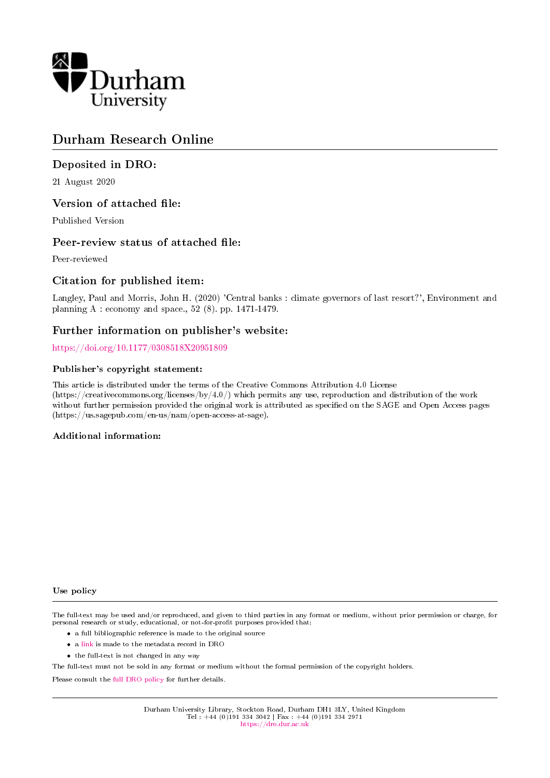

## Durham Research Online

## Deposited in DRO:

21 August 2020

## Version of attached file:

Published Version

## Peer-review status of attached file:

Peer-reviewed

## Citation for published item:

Langley, Paul and Morris, John H. (2020) 'Central banks : climate governors of last resort?', Environment and planning A : economy and space., 52 (8). pp. 1471-1479.

## Further information on publisher's website:

<https://doi.org/10.1177/0308518X20951809>

## Publisher's copyright statement:

This article is distributed under the terms of the Creative Commons Attribution 4.0 License (https://creativecommons.org/licenses/by/4.0/) which permits any use, reproduction and distribution of the work without further permission provided the original work is attributed as specified on the SAGE and Open Access pages (https://us.sagepub.com/en-us/nam/open-access-at-sage).

## Additional information:

#### Use policy

The full-text may be used and/or reproduced, and given to third parties in any format or medium, without prior permission or charge, for personal research or study, educational, or not-for-profit purposes provided that:

- a full bibliographic reference is made to the original source
- a [link](http://dro.dur.ac.uk/31380/) is made to the metadata record in DRO
- the full-text is not changed in any way

The full-text must not be sold in any format or medium without the formal permission of the copyright holders.

Please consult the [full DRO policy](https://dro.dur.ac.uk/policies/usepolicy.pdf) for further details.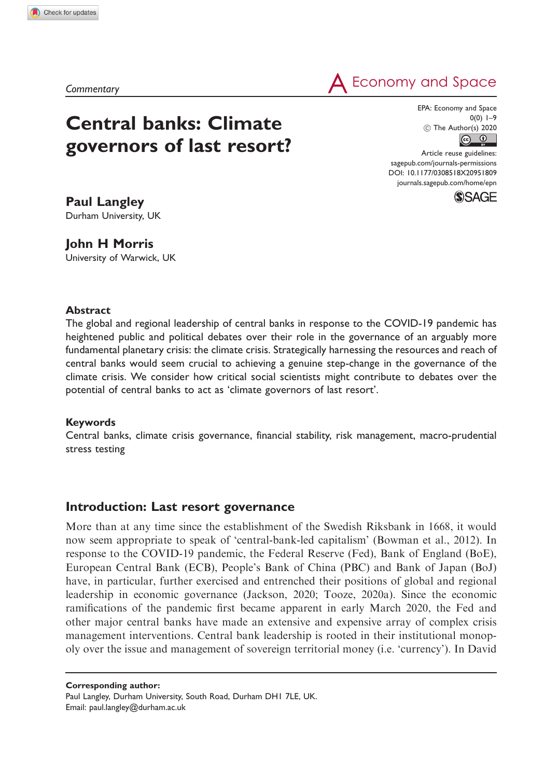Commentary Commentary Commentary Commentary

# Central banks: Climate governors of last resort?





Article reuse guidelines: [sagepub.com/journals-permissions](http://uk.sagepub.com/en-gb/journals-permissions) [DOI: 10.1177/0308518X20951809](http://dx.doi.org/10.1177/0308518X20951809) <journals.sagepub.com/home/epn>



## Paul Langley

Durham University, UK

## John H Morris

University of Warwick, UK

#### **Abstract**

The global and regional leadership of central banks in response to the COVID-19 pandemic has heightened public and political debates over their role in the governance of an arguably more fundamental planetary crisis: the climate crisis. Strategically harnessing the resources and reach of central banks would seem crucial to achieving a genuine step-change in the governance of the climate crisis. We consider how critical social scientists might contribute to debates over the potential of central banks to act as 'climate governors of last resort'.

#### Keywords

Central banks, climate crisis governance, financial stability, risk management, macro-prudential stress testing

## Introduction: Last resort governance

More than at any time since the establishment of the Swedish Riksbank in 1668, it would now seem appropriate to speak of 'central-bank-led capitalism' (Bowman et al., 2012). In response to the COVID-19 pandemic, the Federal Reserve (Fed), Bank of England (BoE), European Central Bank (ECB), People's Bank of China (PBC) and Bank of Japan (BoJ) have, in particular, further exercised and entrenched their positions of global and regional leadership in economic governance (Jackson, 2020; Tooze, 2020a). Since the economic ramifications of the pandemic first became apparent in early March 2020, the Fed and other major central banks have made an extensive and expensive array of complex crisis management interventions. Central bank leadership is rooted in their institutional monopoly over the issue and management of sovereign territorial money (i.e. 'currency'). In David

Corresponding author: Paul Langley, Durham University, South Road, Durham DH1 7LE, UK. Email: [paul.langley@durham.ac.uk](mailto:paul.langley@durham.ac.uk)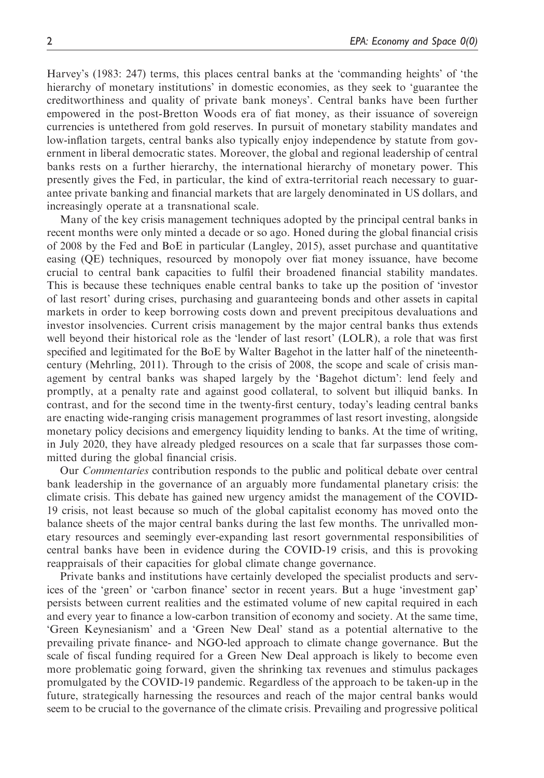Harvey's (1983: 247) terms, this places central banks at the 'commanding heights' of 'the hierarchy of monetary institutions' in domestic economies, as they seek to 'guarantee the creditworthiness and quality of private bank moneys'. Central banks have been further empowered in the post-Bretton Woods era of fiat money, as their issuance of sovereign currencies is untethered from gold reserves. In pursuit of monetary stability mandates and low-inflation targets, central banks also typically enjoy independence by statute from government in liberal democratic states. Moreover, the global and regional leadership of central banks rests on a further hierarchy, the international hierarchy of monetary power. This presently gives the Fed, in particular, the kind of extra-territorial reach necessary to guarantee private banking and financial markets that are largely denominated in US dollars, and increasingly operate at a transnational scale.

Many of the key crisis management techniques adopted by the principal central banks in recent months were only minted a decade or so ago. Honed during the global financial crisis of 2008 by the Fed and BoE in particular (Langley, 2015), asset purchase and quantitative easing (QE) techniques, resourced by monopoly over fiat money issuance, have become crucial to central bank capacities to fulfil their broadened financial stability mandates. This is because these techniques enable central banks to take up the position of 'investor of last resort' during crises, purchasing and guaranteeing bonds and other assets in capital markets in order to keep borrowing costs down and prevent precipitous devaluations and investor insolvencies. Current crisis management by the major central banks thus extends well beyond their historical role as the 'lender of last resort' (LOLR), a role that was first specified and legitimated for the BoE by Walter Bagehot in the latter half of the nineteenthcentury (Mehrling, 2011). Through to the crisis of 2008, the scope and scale of crisis management by central banks was shaped largely by the 'Bagehot dictum': lend feely and promptly, at a penalty rate and against good collateral, to solvent but illiquid banks. In contrast, and for the second time in the twenty-first century, today's leading central banks are enacting wide-ranging crisis management programmes of last resort investing, alongside monetary policy decisions and emergency liquidity lending to banks. At the time of writing, in July 2020, they have already pledged resources on a scale that far surpasses those committed during the global financial crisis.

Our Commentaries contribution responds to the public and political debate over central bank leadership in the governance of an arguably more fundamental planetary crisis: the climate crisis. This debate has gained new urgency amidst the management of the COVID-19 crisis, not least because so much of the global capitalist economy has moved onto the balance sheets of the major central banks during the last few months. The unrivalled monetary resources and seemingly ever-expanding last resort governmental responsibilities of central banks have been in evidence during the COVID-19 crisis, and this is provoking reappraisals of their capacities for global climate change governance.

Private banks and institutions have certainly developed the specialist products and services of the 'green' or 'carbon finance' sector in recent years. But a huge 'investment gap' persists between current realities and the estimated volume of new capital required in each and every year to finance a low-carbon transition of economy and society. At the same time, 'Green Keynesianism' and a 'Green New Deal' stand as a potential alternative to the prevailing private finance- and NGO-led approach to climate change governance. But the scale of fiscal funding required for a Green New Deal approach is likely to become even more problematic going forward, given the shrinking tax revenues and stimulus packages promulgated by the COVID-19 pandemic. Regardless of the approach to be taken-up in the future, strategically harnessing the resources and reach of the major central banks would seem to be crucial to the governance of the climate crisis. Prevailing and progressive political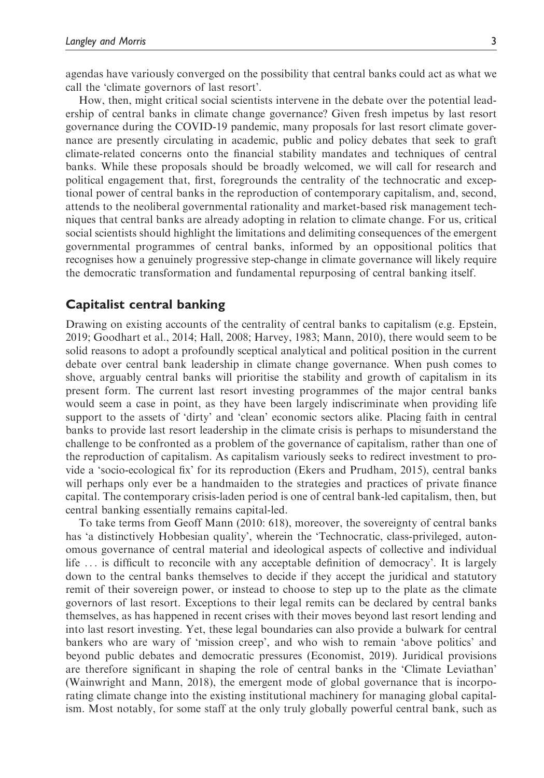agendas have variously converged on the possibility that central banks could act as what we call the 'climate governors of last resort'.

How, then, might critical social scientists intervene in the debate over the potential leadership of central banks in climate change governance? Given fresh impetus by last resort governance during the COVID-19 pandemic, many proposals for last resort climate governance are presently circulating in academic, public and policy debates that seek to graft climate-related concerns onto the financial stability mandates and techniques of central banks. While these proposals should be broadly welcomed, we will call for research and political engagement that, first, foregrounds the centrality of the technocratic and exceptional power of central banks in the reproduction of contemporary capitalism, and, second, attends to the neoliberal governmental rationality and market-based risk management techniques that central banks are already adopting in relation to climate change. For us, critical social scientists should highlight the limitations and delimiting consequences of the emergent governmental programmes of central banks, informed by an oppositional politics that recognises how a genuinely progressive step-change in climate governance will likely require the democratic transformation and fundamental repurposing of central banking itself.

### Capitalist central banking

Drawing on existing accounts of the centrality of central banks to capitalism (e.g. Epstein, 2019; Goodhart et al., 2014; Hall, 2008; Harvey, 1983; Mann, 2010), there would seem to be solid reasons to adopt a profoundly sceptical analytical and political position in the current debate over central bank leadership in climate change governance. When push comes to shove, arguably central banks will prioritise the stability and growth of capitalism in its present form. The current last resort investing programmes of the major central banks would seem a case in point, as they have been largely indiscriminate when providing life support to the assets of 'dirty' and 'clean' economic sectors alike. Placing faith in central banks to provide last resort leadership in the climate crisis is perhaps to misunderstand the challenge to be confronted as a problem of the governance of capitalism, rather than one of the reproduction of capitalism. As capitalism variously seeks to redirect investment to provide a 'socio-ecological fix' for its reproduction (Ekers and Prudham, 2015), central banks will perhaps only ever be a handmaiden to the strategies and practices of private finance capital. The contemporary crisis-laden period is one of central bank-led capitalism, then, but central banking essentially remains capital-led.

To take terms from Geoff Mann (2010: 618), moreover, the sovereignty of central banks has 'a distinctively Hobbesian quality', wherein the 'Technocratic, class-privileged, autonomous governance of central material and ideological aspects of collective and individual life ... is difficult to reconcile with any acceptable definition of democracy'. It is largely down to the central banks themselves to decide if they accept the juridical and statutory remit of their sovereign power, or instead to choose to step up to the plate as the climate governors of last resort. Exceptions to their legal remits can be declared by central banks themselves, as has happened in recent crises with their moves beyond last resort lending and into last resort investing. Yet, these legal boundaries can also provide a bulwark for central bankers who are wary of 'mission creep', and who wish to remain 'above politics' and beyond public debates and democratic pressures (Economist, 2019). Juridical provisions are therefore significant in shaping the role of central banks in the 'Climate Leviathan' (Wainwright and Mann, 2018), the emergent mode of global governance that is incorporating climate change into the existing institutional machinery for managing global capitalism. Most notably, for some staff at the only truly globally powerful central bank, such as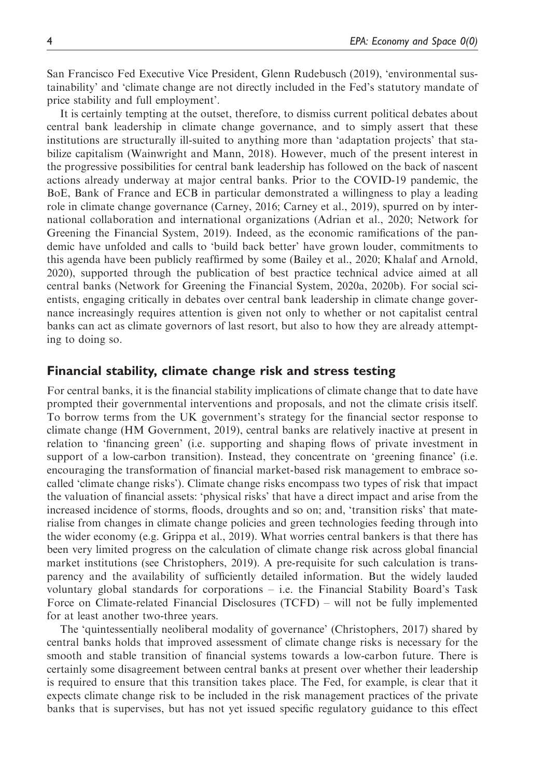San Francisco Fed Executive Vice President, Glenn Rudebusch (2019), 'environmental sustainability' and 'climate change are not directly included in the Fed's statutory mandate of price stability and full employment'.

It is certainly tempting at the outset, therefore, to dismiss current political debates about central bank leadership in climate change governance, and to simply assert that these institutions are structurally ill-suited to anything more than 'adaptation projects' that stabilize capitalism (Wainwright and Mann, 2018). However, much of the present interest in the progressive possibilities for central bank leadership has followed on the back of nascent actions already underway at major central banks. Prior to the COVID-19 pandemic, the BoE, Bank of France and ECB in particular demonstrated a willingness to play a leading role in climate change governance (Carney, 2016; Carney et al., 2019), spurred on by international collaboration and international organizations (Adrian et al., 2020; Network for Greening the Financial System, 2019). Indeed, as the economic ramifications of the pandemic have unfolded and calls to 'build back better' have grown louder, commitments to this agenda have been publicly reaffirmed by some (Bailey et al., 2020; Khalaf and Arnold, 2020), supported through the publication of best practice technical advice aimed at all central banks (Network for Greening the Financial System, 2020a, 2020b). For social scientists, engaging critically in debates over central bank leadership in climate change governance increasingly requires attention is given not only to whether or not capitalist central banks can act as climate governors of last resort, but also to how they are already attempting to doing so.

### Financial stability, climate change risk and stress testing

For central banks, it is the financial stability implications of climate change that to date have prompted their governmental interventions and proposals, and not the climate crisis itself. To borrow terms from the UK government's strategy for the financial sector response to climate change (HM Government, 2019), central banks are relatively inactive at present in relation to 'financing green' (i.e. supporting and shaping flows of private investment in support of a low-carbon transition). Instead, they concentrate on 'greening finance' (i.e. encouraging the transformation of financial market-based risk management to embrace socalled 'climate change risks'). Climate change risks encompass two types of risk that impact the valuation of financial assets: 'physical risks' that have a direct impact and arise from the increased incidence of storms, floods, droughts and so on; and, 'transition risks' that materialise from changes in climate change policies and green technologies feeding through into the wider economy (e.g. Grippa et al., 2019). What worries central bankers is that there has been very limited progress on the calculation of climate change risk across global financial market institutions (see Christophers, 2019). A pre-requisite for such calculation is transparency and the availability of sufficiently detailed information. But the widely lauded voluntary global standards for corporations – i.e. the Financial Stability Board's Task Force on Climate-related Financial Disclosures (TCFD) – will not be fully implemented for at least another two-three years.

The 'quintessentially neoliberal modality of governance' (Christophers, 2017) shared by central banks holds that improved assessment of climate change risks is necessary for the smooth and stable transition of financial systems towards a low-carbon future. There is certainly some disagreement between central banks at present over whether their leadership is required to ensure that this transition takes place. The Fed, for example, is clear that it expects climate change risk to be included in the risk management practices of the private banks that is supervises, but has not yet issued specific regulatory guidance to this effect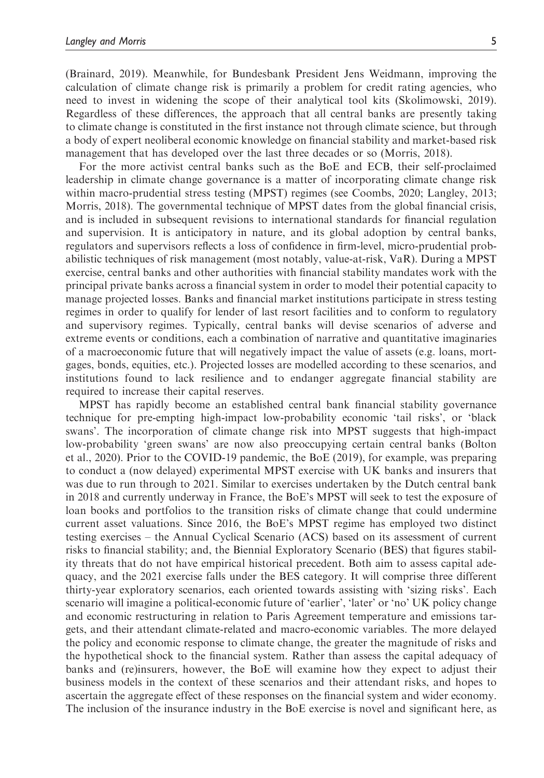(Brainard, 2019). Meanwhile, for Bundesbank President Jens Weidmann, improving the calculation of climate change risk is primarily a problem for credit rating agencies, who need to invest in widening the scope of their analytical tool kits (Skolimowski, 2019). Regardless of these differences, the approach that all central banks are presently taking to climate change is constituted in the first instance not through climate science, but through a body of expert neoliberal economic knowledge on financial stability and market-based risk management that has developed over the last three decades or so (Morris, 2018).

For the more activist central banks such as the BoE and ECB, their self-proclaimed leadership in climate change governance is a matter of incorporating climate change risk within macro-prudential stress testing (MPST) regimes (see Coombs, 2020; Langley, 2013; Morris, 2018). The governmental technique of MPST dates from the global financial crisis, and is included in subsequent revisions to international standards for financial regulation and supervision. It is anticipatory in nature, and its global adoption by central banks, regulators and supervisors reflects a loss of confidence in firm-level, micro-prudential probabilistic techniques of risk management (most notably, value-at-risk, VaR). During a MPST exercise, central banks and other authorities with financial stability mandates work with the principal private banks across a financial system in order to model their potential capacity to manage projected losses. Banks and financial market institutions participate in stress testing regimes in order to qualify for lender of last resort facilities and to conform to regulatory and supervisory regimes. Typically, central banks will devise scenarios of adverse and extreme events or conditions, each a combination of narrative and quantitative imaginaries of a macroeconomic future that will negatively impact the value of assets (e.g. loans, mortgages, bonds, equities, etc.). Projected losses are modelled according to these scenarios, and institutions found to lack resilience and to endanger aggregate financial stability are required to increase their capital reserves.

MPST has rapidly become an established central bank financial stability governance technique for pre-empting high-impact low-probability economic 'tail risks', or 'black swans'. The incorporation of climate change risk into MPST suggests that high-impact low-probability 'green swans' are now also preoccupying certain central banks (Bolton et al., 2020). Prior to the COVID-19 pandemic, the BoE (2019), for example, was preparing to conduct a (now delayed) experimental MPST exercise with UK banks and insurers that was due to run through to 2021. Similar to exercises undertaken by the Dutch central bank in 2018 and currently underway in France, the BoE's MPST will seek to test the exposure of loan books and portfolios to the transition risks of climate change that could undermine current asset valuations. Since 2016, the BoE's MPST regime has employed two distinct testing exercises – the Annual Cyclical Scenario (ACS) based on its assessment of current risks to financial stability; and, the Biennial Exploratory Scenario (BES) that figures stability threats that do not have empirical historical precedent. Both aim to assess capital adequacy, and the 2021 exercise falls under the BES category. It will comprise three different thirty-year exploratory scenarios, each oriented towards assisting with 'sizing risks'. Each scenario will imagine a political-economic future of 'earlier', 'later' or 'no' UK policy change and economic restructuring in relation to Paris Agreement temperature and emissions targets, and their attendant climate-related and macro-economic variables. The more delayed the policy and economic response to climate change, the greater the magnitude of risks and the hypothetical shock to the financial system. Rather than assess the capital adequacy of banks and (re)insurers, however, the BoE will examine how they expect to adjust their business models in the context of these scenarios and their attendant risks, and hopes to ascertain the aggregate effect of these responses on the financial system and wider economy. The inclusion of the insurance industry in the BoE exercise is novel and significant here, as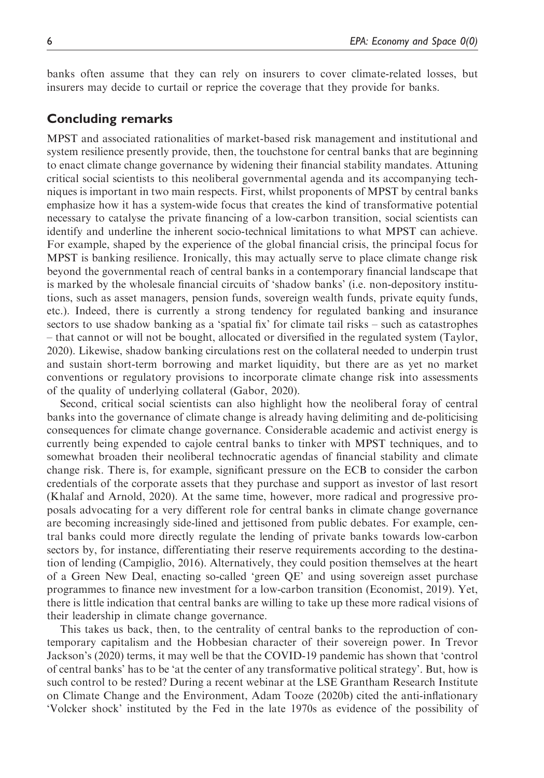banks often assume that they can rely on insurers to cover climate-related losses, but insurers may decide to curtail or reprice the coverage that they provide for banks.

#### Concluding remarks

MPST and associated rationalities of market-based risk management and institutional and system resilience presently provide, then, the touchstone for central banks that are beginning to enact climate change governance by widening their financial stability mandates. Attuning critical social scientists to this neoliberal governmental agenda and its accompanying techniques is important in two main respects. First, whilst proponents of MPST by central banks emphasize how it has a system-wide focus that creates the kind of transformative potential necessary to catalyse the private financing of a low-carbon transition, social scientists can identify and underline the inherent socio-technical limitations to what MPST can achieve. For example, shaped by the experience of the global financial crisis, the principal focus for MPST is banking resilience. Ironically, this may actually serve to place climate change risk beyond the governmental reach of central banks in a contemporary financial landscape that is marked by the wholesale financial circuits of 'shadow banks' (i.e. non-depository institutions, such as asset managers, pension funds, sovereign wealth funds, private equity funds, etc.). Indeed, there is currently a strong tendency for regulated banking and insurance sectors to use shadow banking as a 'spatial fix' for climate tail risks – such as catastrophes – that cannot or will not be bought, allocated or diversified in the regulated system (Taylor, 2020). Likewise, shadow banking circulations rest on the collateral needed to underpin trust and sustain short-term borrowing and market liquidity, but there are as yet no market conventions or regulatory provisions to incorporate climate change risk into assessments of the quality of underlying collateral (Gabor, 2020).

Second, critical social scientists can also highlight how the neoliberal foray of central banks into the governance of climate change is already having delimiting and de-politicising consequences for climate change governance. Considerable academic and activist energy is currently being expended to cajole central banks to tinker with MPST techniques, and to somewhat broaden their neoliberal technocratic agendas of financial stability and climate change risk. There is, for example, significant pressure on the ECB to consider the carbon credentials of the corporate assets that they purchase and support as investor of last resort (Khalaf and Arnold, 2020). At the same time, however, more radical and progressive proposals advocating for a very different role for central banks in climate change governance are becoming increasingly side-lined and jettisoned from public debates. For example, central banks could more directly regulate the lending of private banks towards low-carbon sectors by, for instance, differentiating their reserve requirements according to the destination of lending (Campiglio, 2016). Alternatively, they could position themselves at the heart of a Green New Deal, enacting so-called 'green QE' and using sovereign asset purchase programmes to finance new investment for a low-carbon transition (Economist, 2019). Yet, there is little indication that central banks are willing to take up these more radical visions of their leadership in climate change governance.

This takes us back, then, to the centrality of central banks to the reproduction of contemporary capitalism and the Hobbesian character of their sovereign power. In Trevor Jackson's (2020) terms, it may well be that the COVID-19 pandemic has shown that 'control of central banks' has to be 'at the center of any transformative political strategy'. But, how is such control to be rested? During a recent webinar at the LSE Grantham Research Institute on Climate Change and the Environment, Adam Tooze (2020b) cited the anti-inflationary 'Volcker shock' instituted by the Fed in the late 1970s as evidence of the possibility of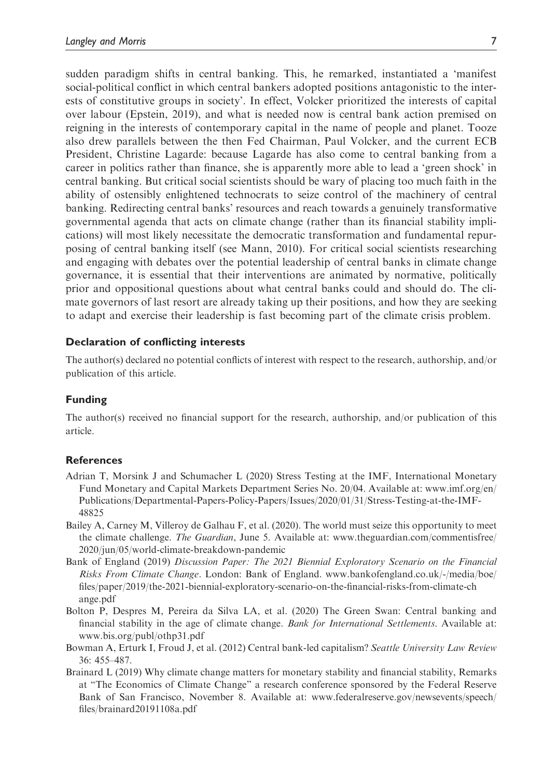sudden paradigm shifts in central banking. This, he remarked, instantiated a 'manifest social-political conflict in which central bankers adopted positions antagonistic to the interests of constitutive groups in society'. In effect, Volcker prioritized the interests of capital over labour (Epstein, 2019), and what is needed now is central bank action premised on reigning in the interests of contemporary capital in the name of people and planet. Tooze also drew parallels between the then Fed Chairman, Paul Volcker, and the current ECB President, Christine Lagarde: because Lagarde has also come to central banking from a career in politics rather than finance, she is apparently more able to lead a 'green shock' in central banking. But critical social scientists should be wary of placing too much faith in the ability of ostensibly enlightened technocrats to seize control of the machinery of central banking. Redirecting central banks' resources and reach towards a genuinely transformative governmental agenda that acts on climate change (rather than its financial stability implications) will most likely necessitate the democratic transformation and fundamental repurposing of central banking itself (see Mann, 2010). For critical social scientists researching and engaging with debates over the potential leadership of central banks in climate change governance, it is essential that their interventions are animated by normative, politically prior and oppositional questions about what central banks could and should do. The climate governors of last resort are already taking up their positions, and how they are seeking to adapt and exercise their leadership is fast becoming part of the climate crisis problem.

#### Declaration of conflicting interests

The author(s) declared no potential conflicts of interest with respect to the research, authorship, and/or publication of this article.

#### Funding

The author(s) received no financial support for the research, authorship, and/or publication of this article.

#### **References**

- Adrian T, Morsink J and Schumacher L (2020) Stress Testing at the IMF, International Monetary Fund Monetary and Capital Markets Department Series No. 20/04. Available at: [www.imf.org/en/](http://www.imf.org/en/Publications/Departmental-Papers-Policy-Papers/Issues/2020/01/31/Stress-Testing-at-the-IMF-48825) [Publications/Departmental-Papers-Policy-Papers/Issues/2020/01/31/Stress-Testing-at-the-IMF-](http://www.imf.org/en/Publications/Departmental-Papers-Policy-Papers/Issues/2020/01/31/Stress-Testing-at-the-IMF-48825)[48825](http://www.imf.org/en/Publications/Departmental-Papers-Policy-Papers/Issues/2020/01/31/Stress-Testing-at-the-IMF-48825)
- Bailey A, Carney M, Villeroy de Galhau F, et al. (2020). The world must seize this opportunity to meet the climate challenge. The Guardian, June 5. Available at: [www.theguardian.com/commentisfree/](http://www.theguardian.com/commentisfree/2020/jun/05/world-climate-breakdown-pandemic) [2020/jun/05/world-climate-breakdown-pandemic](http://www.theguardian.com/commentisfree/2020/jun/05/world-climate-breakdown-pandemic)
- Bank of England (2019) Discussion Paper: The 2021 Biennial Exploratory Scenario on the Financial Risks From Climate Change. London: Bank of England. [www.bankofengland.co.uk/-/media/boe/](http://www.bankofengland.co.uk/-/media/boe/files/paper/2019/the-2021-biennial-exploratory-scenario-on-the-financial-risks-from-climate-change.pdf) [files/paper/2019/the-2021-biennial-exploratory-scenario-on-the-financial-risks-from-climate-ch](http://www.bankofengland.co.uk/-/media/boe/files/paper/2019/the-2021-biennial-exploratory-scenario-on-the-financial-risks-from-climate-change.pdf) [ange.pdf](http://www.bankofengland.co.uk/-/media/boe/files/paper/2019/the-2021-biennial-exploratory-scenario-on-the-financial-risks-from-climate-change.pdf)
- Bolton P, Despres M, Pereira da Silva LA, et al. (2020) The Green Swan: Central banking and financial stability in the age of climate change. Bank for International Settlements. Available at: [www.bis.org/publ/othp31.pdf](http://www.bis.org/publ/othp31.pdf)
- Bowman A, Erturk I, Froud J, et al. (2012) Central bank-led capitalism? Seattle University Law Review 36: 455–487.
- Brainard L (2019) Why climate change matters for monetary stability and financial stability, Remarks at "The Economics of Climate Change" a research conference sponsored by the Federal Reserve Bank of San Francisco, November 8. Available at: [www.federalreserve.gov/newsevents/speech/](http://www.federalreserve.gov/newsevents/speech/files/brainard20191108a.pdf) [files/brainard20191108a.pdf](http://www.federalreserve.gov/newsevents/speech/files/brainard20191108a.pdf)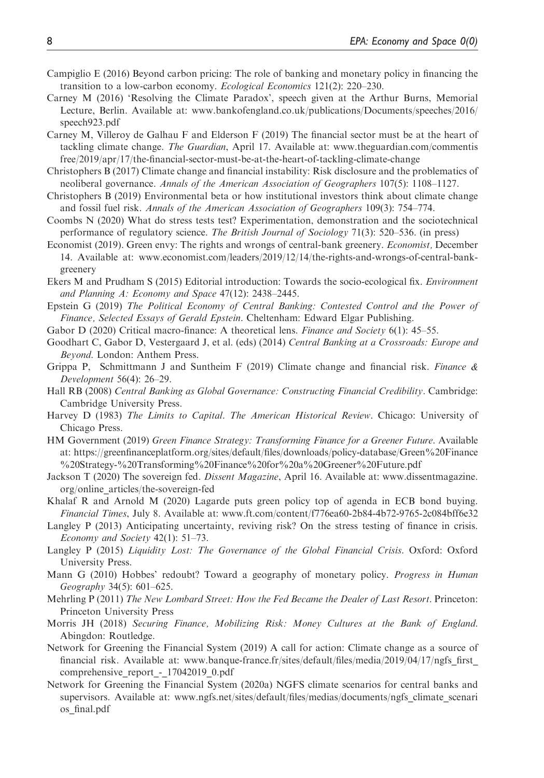- Campiglio E (2016) Beyond carbon pricing: The role of banking and monetary policy in financing the transition to a low-carbon economy. Ecological Economics 121(2): 220–230.
- Carney M (2016) 'Resolving the Climate Paradox', speech given at the Arthur Burns, Memorial Lecture, Berlin. Available at: [www.bankofengland.co.uk/publications/Documents/speeches/2016/](http://www.bankofengland.co.uk/publications/Documents/speeches/2016/speech923.pdf) [speech923.pdf](http://www.bankofengland.co.uk/publications/Documents/speeches/2016/speech923.pdf)
- Carney M, Villeroy de Galhau F and Elderson F (2019) The financial sector must be at the heart of tackling climate change. The Guardian, April 17. Available at: [www.theguardian.com/commentis](http://www.theguardian.com/commentisfree/2019/apr/17/the-financial-sector-must-be-at-the-heart-of-tackling-climate-change) [free/2019/apr/17/the-financial-sector-must-be-at-the-heart-of-tackling-climate-change](http://www.theguardian.com/commentisfree/2019/apr/17/the-financial-sector-must-be-at-the-heart-of-tackling-climate-change)
- Christophers B (2017) Climate change and financial instability: Risk disclosure and the problematics of neoliberal governance. Annals of the American Association of Geographers 107(5): 1108–1127.
- Christophers B (2019) Environmental beta or how institutional investors think about climate change and fossil fuel risk. Annals of the American Association of Geographers 109(3): 754–774.
- Coombs N (2020) What do stress tests test? Experimentation, demonstration and the sociotechnical performance of regulatory science. The British Journal of Sociology 71(3): 520–536. (in press)
- Economist (2019). Green envy: The rights and wrongs of central-bank greenery. Economist, December 14. Available at: [www.economist.com/leaders/2019/12/14/the-rights-and-wrongs-of-central-bank](http://www.economist.com/leaders/2019/12/14/the-rights-and-wrongs-of-central-bank-greenery)[greenery](http://www.economist.com/leaders/2019/12/14/the-rights-and-wrongs-of-central-bank-greenery)
- Ekers M and Prudham S (2015) Editorial introduction: Towards the socio-ecological fix. Environment and Planning A: Economy and Space 47(12): 2438–2445.
- Epstein G (2019) The Political Economy of Central Banking: Contested Control and the Power of Finance, Selected Essays of Gerald Epstein. Cheltenham: Edward Elgar Publishing.
- Gabor D (2020) Critical macro-finance: A theoretical lens. *Finance and Society* 6(1): 45–55.
- Goodhart C, Gabor D, Vestergaard J, et al. (eds) (2014) Central Banking at a Crossroads: Europe and Beyond. London: Anthem Press.
- Grippa P, Schmittmann J and Suntheim F (2019) Climate change and financial risk. Finance  $\&$ Development 56(4): 26–29.
- Hall RB (2008) Central Banking as Global Governance: Constructing Financial Credibility. Cambridge: Cambridge University Press.
- Harvey D (1983) The Limits to Capital. The American Historical Review. Chicago: University of Chicago Press.
- HM Government (2019) Green Finance Strategy: Transforming Finance for a Greener Future. Available at: [https://greenfinanceplatform.org/sites/default/files/downloads/policy-database/Green%20Finance](https://greenfinanceplatform.org/sites/default/files/downloads/policy-database/Green%20Finance%20Strategy-%20Transforming%20Finance%20for%20a%20Greener%20Future.pdf) [%20Strategy-%20Transforming%20Finance%20for%20a%20Greener%20Future.pdf](https://greenfinanceplatform.org/sites/default/files/downloads/policy-database/Green%20Finance%20Strategy-%20Transforming%20Finance%20for%20a%20Greener%20Future.pdf)
- Jackson T (2020) The sovereign fed. Dissent Magazine, April 16. Available at: [www.dissentmagazine.](http://www.dissentmagazine.org/online_articles/the-sovereign-fed) [org/online\\_articles/the-sovereign-fed](http://www.dissentmagazine.org/online_articles/the-sovereign-fed)
- Khalaf R and Arnold M (2020) Lagarde puts green policy top of agenda in ECB bond buying. Financial Times, July 8. Available at: [www.ft.com/content/f776ea60-2b84-4b72-9765-2c084bff6e32](http://www.ft.com/content/f776ea60-2b84-4b72-9765-2c084bff6e32)
- Langley P (2013) Anticipating uncertainty, reviving risk? On the stress testing of finance in crisis. Economy and Society 42(1): 51–73.
- Langley P (2015) Liquidity Lost: The Governance of the Global Financial Crisis. Oxford: Oxford University Press.
- Mann G (2010) Hobbes' redoubt? Toward a geography of monetary policy. *Progress in Human* Geography 34(5): 601–625.
- Mehrling P (2011) The New Lombard Street: How the Fed Became the Dealer of Last Resort. Princeton: Princeton University Press
- Morris JH (2018) Securing Finance, Mobilizing Risk: Money Cultures at the Bank of England. Abingdon: Routledge.
- Network for Greening the Financial System (2019) A call for action: Climate change as a source of financial risk. Available at: [www.banque-france.fr/sites/default/files/media/2019/04/17/ngfs\\_first\\_](http://www.banque-france.fr/sites/default/files/media/2019/04/17/ngfs_first_comprehensive_report_-_17042019_0.pdf) comprehensive report - 17042019 0.pdf
- Network for Greening the Financial System (2020a) NGFS climate scenarios for central banks and supervisors. Available at: www.ngfs.net/sites/default/files/medias/documents/ngfs climate scenari [os\\_final.pdf](http://www.ngfs.net/sites/default/files/medias/documents/ngfs_climate_scenarios_final.pdf)